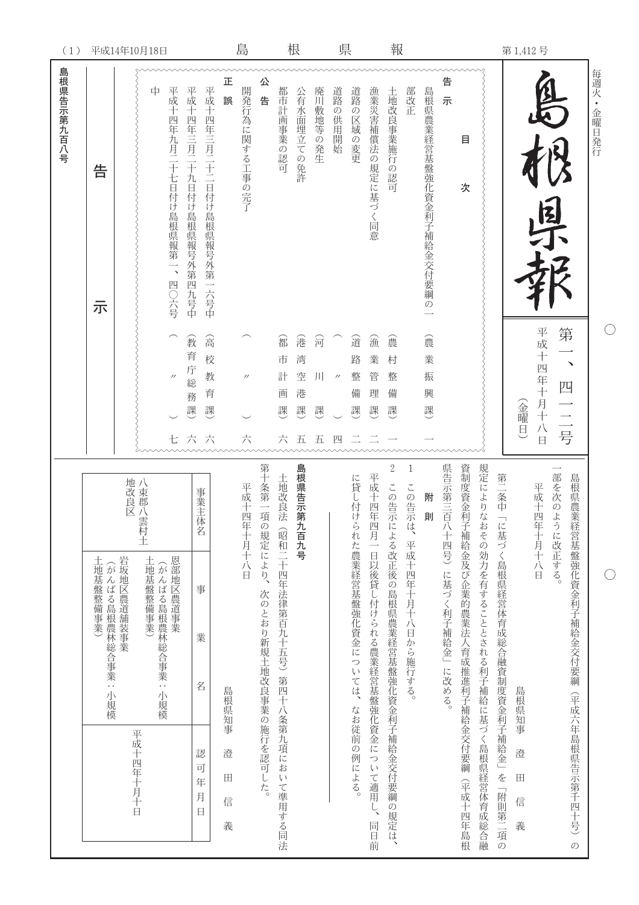| (1)        |                                | 平成14年10月18日 |                                   |                              |                                 |                            |                  | 島                      |                        |                                         | 根                          |                          | 県                      |                          |                                 | 報                                      |                         |                          |                            |                                          |                                          |                                    | 第1,412号                       |            |               |                                   |
|------------|--------------------------------|-------------|-----------------------------------|------------------------------|---------------------------------|----------------------------|------------------|------------------------|------------------------|-----------------------------------------|----------------------------|--------------------------|------------------------|--------------------------|---------------------------------|----------------------------------------|-------------------------|--------------------------|----------------------------|------------------------------------------|------------------------------------------|------------------------------------|-------------------------------|------------|---------------|-----------------------------------|
| 島根県告示第九百八号 | 告<br>示                         |             | 中                                 | 平成十四年九月二十七日付け島根県報第一、<br>四〇六号 | 平成十四年三月二十九日付け島根県報号外第四九号中        | 平成十四年三月二十二日付け島根県報号外第一六号中   | 正<br>誤           | 開発行為に関する工事の完了          | 公<br>告                 | 都市計画事業の認可                               | 公有水面埋立ての免許                 | 廃川敷地等の発生                 | 道路の供用開始                | 道路の区域の変更                 | 漁業災害補償法の規定に基づく同意                | 土地改良事業施行<br>の認<br>可                    | 部改正                     | 島根県農業経営基盤強化資金利子補給金交付要綱の一 | 告<br>示                     | 目<br>次                                   |                                          |                                    |                               |            |               | 毎週火・金曜日発行                         |
|            |                                |             |                                   | $^{\prime\prime}$<br>Ł.      | 敎<br>育<br>庁<br>総<br>務<br>課<br>六 | 含<br>校<br>教<br>育<br>課<br>六 |                  | $^{\prime\prime}$<br>六 |                        | 鄐<br>市<br>計<br>画<br>課<br>六              | 注<br>湾<br>空<br>港<br>課<br>五 | 河<br>$J\Gamma$<br>課<br>五 | $^{\prime\prime}$<br>四 | 道<br>路<br>整<br>備<br>課    | 逾<br>業<br>管<br>理<br>課           | 震<br>村<br>整<br>備<br>課                  |                         | 震<br>業<br>振<br>興<br>課    |                            |                                          |                                          |                                    | (金曜日                          | 平成十四年十月十八日 | 第<br>四<br>一二号 |                                   |
|            |                                | 地改良区        | 雲村土                               |                              |                                 | 事業主体名                      |                  | 平成十四<br>年十月十八日         | 第十条第一項の規定により、          |                                         | 島根県告示第九百九号                 |                          |                        |                          | 平成十四年                           | $\sqrt{2}$                             | $\mathbf{1}$            | 附<br>則                   |                            |                                          |                                          | 第二条中                               |                               | 平成十四年十月十八日 | 部を次のように改正する。  |                                   |
|            | 土地基盤整備事業)<br>(がんばる島根農林総合事業:小規模 | 岩坂地区農道舗装事業  | 土地基盤整備事業)を事業:小規模(がんばる島根農林総合事業:小規模 | 恩部地区農道事業                     |                                 | 事<br>業<br>名                | 島根県知事            |                        | 次のとおり新規土地改良事業の施行を認可した。 | 土地改良法(昭和二十四年法律第百九十五号)第四十八条第九項において準用する同法 |                            |                          |                        | に貸し付けられた農業経営基盤強化資金については、 | 四月一日以後貸し付けられる農業経営基盤強化資金について適用し、 | この告示による改正後の島根県農業経営基盤強化資金利子補給金交付要綱の規定は、 | この告示は、平成十四年十月十八日から施行する。 |                          | 県告示第三百八十四号)に基づく利子補給金」に改める。 | 資制度資金利子補給金及び企業的農業法人育成推進利子補給金交付要綱(平成十四年島根 | 規定によりなおその効力を有することとされる利子補給に基づく島根県経営体育成総合融 | に基づく島根県経営体育成総合融資制度資金利子補給金」を「附則第二項の | 島根県知事                         |            |               | 島根県農業経営基盤強化資金利子補給金交付要綱            |
|            |                                | 平成十四年十月十日   |                                   |                              |                                 | 認<br>可<br>年<br>月<br>$\Box$ | 澄<br>田<br>信<br>義 |                        |                        |                                         |                            |                          |                        | なお従前の例による。               | 同日前                             |                                        |                         |                          |                            |                                          |                                          |                                    | 澄<br>$\blacksquare$<br>信<br>義 |            |               | (平成六年島根県告示第千四十号)<br>$\mathcal{O}$ |

 $\bigcirc$ 

 $\bigcirc$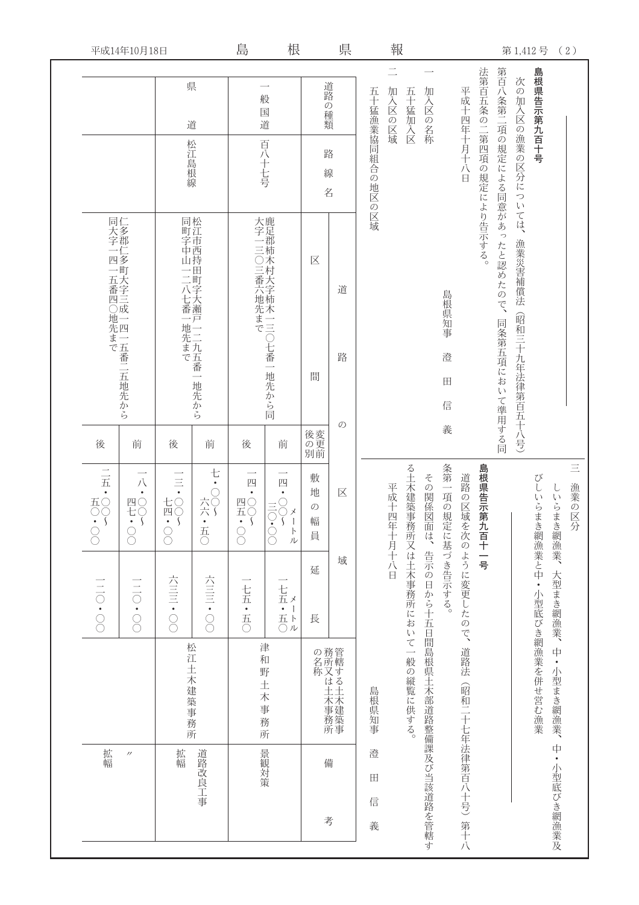|                                                                                                              | 平成14年10月18日                                            |                                                       |                                                  | 島                                                                                                                           | 根                                                              |                                   | 県                    |                  | 報                  |                         |                                    |                                  |                                         |                       |                            | 第1,412号                 |                        |               | (2)               |
|--------------------------------------------------------------------------------------------------------------|--------------------------------------------------------|-------------------------------------------------------|--------------------------------------------------|-----------------------------------------------------------------------------------------------------------------------------|----------------------------------------------------------------|-----------------------------------|----------------------|------------------|--------------------|-------------------------|------------------------------------|----------------------------------|-----------------------------------------|-----------------------|----------------------------|-------------------------|------------------------|---------------|-------------------|
|                                                                                                              |                                                        | 松江島根線                                                 | 県<br>道                                           |                                                                                                                             | 般<br>国<br>道<br>百八十七号                                           |                                   | 道路の種類<br>路<br>線<br>名 | 五十猛漁業協同組合の地区の区域  | $\equiv$<br>加入区の区域 | 五十猛加入区                  | 加入区の名称                             |                                  | 平成十四年十月十八<br>Ë                          | 法第百五条の二第四項の規定により告示する。 | 第百八条第二項の規定による同意があっ         | 次の加入区の漁業の区分については、       | 島根県告示第九百十号             |               |                   |
| 同大字一四一五番四○地先まで「三五番二五地先から」に多郡仁多町大字三成一四一五番二五地先から                                                               |                                                        |                                                       | 同町字中山一二八七番一地先まで松江市西持田町字大瀬戸一二九五番<br>地先から          |                                                                                                                             | 大字一三〇三番六地先まで鹿足郡柿木村大字柿木一三〇七番一<br>地先から同                          | 区<br>間                            | 道<br>路               |                  |                    |                         |                                    | 島根県知事<br>澄<br>$\mathbb{H}%$<br>信 |                                         |                       | たと認めたので、<br>同条第五項において準用する同 | 漁業災害補償法(昭和三十九年法律第百五十八号) |                        |               |                   |
| 後                                                                                                            | 前                                                      | 後                                                     | 前                                                | 後                                                                                                                           | 前                                                              | 後変更<br>別前                         | $\mathcal{O}$        |                  |                    |                         |                                    | 義                                |                                         |                       |                            |                         |                        |               |                   |
| $\frac{1}{\overline{H}}$ .<br>$\begin{array}{c}\n\text{LO} \\ \text{LO} \\ \bullet\n\end{array}$<br>$\infty$ | $\mathcal{N}$<br>$\bullet$<br>四〇<br>$rac{1}{\sqrt{2}}$ | $\equiv$<br>$\infty$<br>七四<br>$\cdot$ 5<br>$\bigcirc$ | 七<br>$\bullet$<br>六)<br>$\overline{\mathcal{L}}$ | $\overline{\phantom{0}}$<br>四<br>$\bullet$<br>四〇五〇<br>$\overline{\mathcal{S}}$<br>٠<br>$\begin{matrix} 0 \\ 0 \end{matrix}$ | 四<br>$\bullet$<br>DO.CO<br>ŏ<br>$\lambda$<br>$\mathsf I$<br>トル | 敷<br>地<br>$\mathcal{O}$<br>幅<br>員 | 区                    |                  | 平成十四<br>年十月十八日     | る土木建築事                  | その関係図                              | 条第一項の規定に基づき告示する。                 |                                         | 島根県告示第九百十一号           |                            |                         | びしいらま                  | L<br>いらまき網漁業、 | $\equiv$<br>漁業の区分 |
| <b>DO</b> · OI!                                                                                              | $\frac{1}{2}$                                          | 六三二·〇〇                                                | 六三三·〇〇                                           | 七五・五〇                                                                                                                       | 一七五・五〇                                                         | 延<br>長                            | 域                    |                  |                    |                         |                                    |                                  |                                         |                       |                            |                         |                        | 大型まき網漁業、      |                   |
|                                                                                                              |                                                        |                                                       | 松江土木建築事務所                                        |                                                                                                                             | 津<br>和<br>野土木事務所                                               |                                   | の名称<br>務所又は土木事務所     | 島根県知事            |                    | 務所又は土木事務所において一般の縦覧に供する。 |                                    |                                  |                                         |                       |                            |                         | き網漁業と中・小型底びき網漁業を併せ営む漁業 | 中·小型まき網漁業、    |                   |
| 拡幅                                                                                                           | $^{\prime\prime}$                                      | 拡幅                                                    | 道路改良工事                                           |                                                                                                                             | 景観対策                                                           |                                   | 備<br>考               | 澄<br>田<br>信<br>義 |                    |                         | 面は、告示の日から十五日間島根県土木部道路整備課及び当該道路を管轄す |                                  | 道路の区域を次のように変更したので、道路法(昭和二十七年法律第百八十号)第十八 |                       |                            |                         |                        | 中·小型底びき網漁業及   |                   |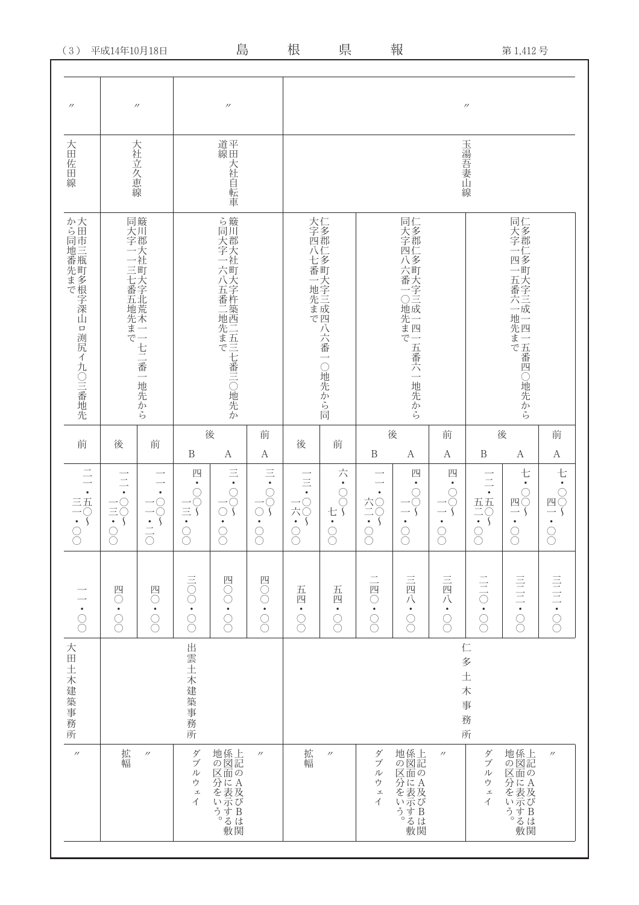| (3)                                                                                       | 平成14年10月18日                                                                                                                                                                                                                  |                                                     |                                                  | 島                          |                                    | 根                                         | 県                                       |                                                       | 報                                                               |                                                                 |                                                                                                  | 第1,412号                                                                    |                                                 |  |
|-------------------------------------------------------------------------------------------|------------------------------------------------------------------------------------------------------------------------------------------------------------------------------------------------------------------------------|-----------------------------------------------------|--------------------------------------------------|----------------------------|------------------------------------|-------------------------------------------|-----------------------------------------|-------------------------------------------------------|-----------------------------------------------------------------|-----------------------------------------------------------------|--------------------------------------------------------------------------------------------------|----------------------------------------------------------------------------|-------------------------------------------------|--|
| $^{\prime\prime}$                                                                         |                                                                                                                                                                                                                              | $^{\prime\prime}$                                   |                                                  | $^{\prime\prime}$          |                                    |                                           |                                         |                                                       |                                                                 |                                                                 | $^{\prime\prime}$                                                                                |                                                                            |                                                 |  |
| 大田佐田線                                                                                     | 道線平田大社自転車<br>大社立久恵線                                                                                                                                                                                                          |                                                     |                                                  |                            |                                    |                                           | 玉湯吾妻山線                                  |                                                       |                                                                 |                                                                 |                                                                                                  |                                                                            |                                                 |  |
| から同地番先までは、「別尻イ九○三番地先大田市三瓶町多根字深山ロ渕尻イ九○三番地先                                                 |                                                                                                                                                                                                                              | 同簸<br>大川<br>字郡<br>- 一二七番五地先まで大社町大字北荒木一一七二番一<br>地先から | ら簸<br>同川<br>.大字一六八五番二地先まで<br>郡大社町大字杵築西二五三七番三〇地先か |                            |                                    | 大字四八七番一地先まで「あ」の地先から同に多郡仁多町大字三成四八六番一〇地先から同 |                                         |                                                       | 同大字四<br>八多<br>六町<br>番<br>:一○地先まで<br> 字三成一四一五番六一地先から             |                                                                 |                                                                                                  | 同仁<br>大多郡<br>四一五番六一地先まで「多町大字三成一四一五番四○地先から                                  |                                                 |  |
| 前                                                                                         | 後                                                                                                                                                                                                                            | 前                                                   | $\, {\bf B}$                                     | 後<br>$\boldsymbol{\rm{A}}$ | 前<br>А                             | 後                                         | 前                                       | $\, {\bf B}$                                          | 後<br>$\boldsymbol{A}$                                           | 前<br>A                                                          | $\, {\bf B}$                                                                                     | 後<br>A                                                                     | 前<br>$\mathbf{A}$                               |  |
| $\bullet$<br>三五<br>$\sum_{n=1}^{\infty}$<br>$\begin{array}{c} \circ \\ \circ \end{array}$ | $\equiv$<br>Ξ<br>四<br>$\bullet$<br>$\bullet$<br>٠<br>$\frac{1}{2}$<br>$\breve{\S}$<br>$\frac{1}{\cdot}$<br>$\breve{\S}$<br>$\bullet$<br>$\frac{1}{\circ}$<br>$\bullet$<br>$\begin{matrix} 0 \\ 0 \end{matrix}$<br>$\bigcirc$ |                                                     |                                                  |                            |                                    | $\equiv$<br>六・〇〇<br>Š                     | 六<br>$\bullet$<br>÷<br>$\bigcirc$       | ٠<br>六○<br>$\frac{1}{\sqrt{2}}$<br>$\overline{\zeta}$ | 四<br>$\bullet$<br>$\bullet$<br>$\begin{matrix}0\\0\end{matrix}$ | 四<br>$\bullet$<br>$\begin{array}{c} \circ \\ \circ \end{array}$ | $\bullet$<br>五五<br>$\bar{\varsigma}$<br>$\frac{1}{0}$                                            | 七<br>٠<br>四〇<br>$\bullet$<br>$\begin{array}{c} \circ \\ \circ \end{array}$ | 七<br>$\bigcirc$<br>四<br>$\bullet$<br>$\bigcirc$ |  |
| $\frac{1}{\sqrt{2}}$                                                                      | 四〇<br>$\frac{1}{\sqrt{2}}$                                                                                                                                                                                                   | 四〇·〇〇                                               | <b>DO · 0011</b>                                 | 四〇〇 • 〇〇                   | 四〇〇<br>$\bullet$<br>$\overline{O}$ | 五四・〇〇                                     | 五四·<br>$\begin{matrix}0\\0\end{matrix}$ | 二四〇 • 〇〇                                              | 三四八・〇〇                                                          | 三四八<br>$\bullet$<br>$\infty$                                    | <b>DO</b> - OC                                                                                   | <b>DO:111111</b>                                                           | <b>DO</b> . 1111111                             |  |
| 大田土木建築事務所                                                                                 |                                                                                                                                                                                                                              |                                                     | 出雲土木建築事務所                                        |                            |                                    |                                           |                                         |                                                       |                                                                 |                                                                 | $\overleftarrow{\phantom{a}}$<br>多<br>$\pm$<br>$\star$<br>事<br>務<br>所                            |                                                                            |                                                 |  |
| $^{\prime\prime}$                                                                         | 拡幅                                                                                                                                                                                                                           | $^{\prime\prime}$                                   | ダ<br>デ<br>$J\bar{L}$<br>ゥ<br>$\pm$<br>イ          | 地の区分をいう。  係図面に表示する敷        | $^{\prime\prime}$                  | 拡幅                                        | $^{\prime\prime}$                       | ダブ<br>$\mathcal{I}\mathcal{V}$<br>ゥ<br>$\pm$<br>イ     | 地の区分をいう。     係図面に表示する敷                                          | $^{\prime\prime}$                                               | $\overleftrightarrow{\mathcal{F}}$<br>ブ<br>$\mathcal{I}\mathcal{V}$<br>ゥ<br>$\mathbbmss{1}$<br>イ | 地の区分をいう。     係図面に表示する敷                                                     | $^{\prime\prime}$                               |  |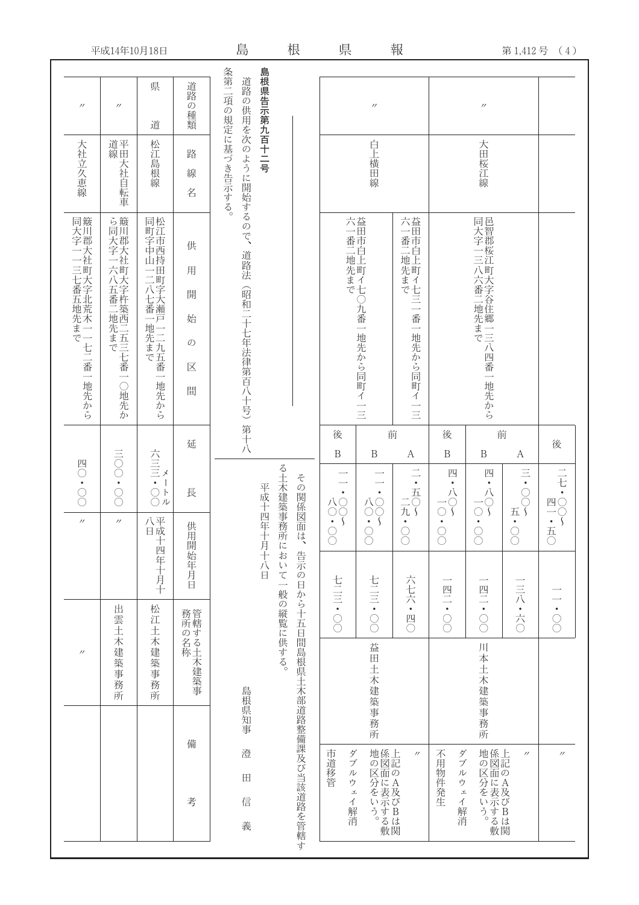|                            | 平成14年10月18日                            |                                         |                                             | 島                                      |                                                        | 根                              | 県                                      |                                                  | 報                                                                                  |                                                                |                                              | 第1,412号                                             | (4)                                                        |
|----------------------------|----------------------------------------|-----------------------------------------|---------------------------------------------|----------------------------------------|--------------------------------------------------------|--------------------------------|----------------------------------------|--------------------------------------------------|------------------------------------------------------------------------------------|----------------------------------------------------------------|----------------------------------------------|-----------------------------------------------------|------------------------------------------------------------|
| $^{\prime\prime}$          | $^{\prime\prime}$                      | 県<br>道                                  | 道路の種類                                       |                                        | 島根県告示第九百十二号                                            |                                |                                        | $^{\prime\prime}$                                |                                                                                    |                                                                | $^{\prime\prime}$                            |                                                     |                                                            |
| 大社立久恵線                     | 道線平田大社自転車                              | 松江島根線                                   | 路<br>線<br>名                                 | 条第二項の規定に基づき告示する。<br>道路の供用を次のように開始するので、 |                                                        |                                |                                        | 白上横田線                                            |                                                                                    |                                                                | 大田桜江線                                        |                                                     |                                                            |
| 同大字一一三七番五地先まで(『土二番一地先から))  | ら同大字一六八五番二地先まで簸川郡大社町大字杵築西二五三七番<br>○地先か | 同町字中山一二八七番一地先まで松江市西持田町字大瀬戸一二九五番<br>地先から | 供<br>用<br>開<br>始<br>$\mathcal{O}$<br>区<br>間 | 道路法<br>(昭和二十七年法律第百八十号)第十八              |                                                        |                                | 六一番二地先まで益田市白上町イ七○                      | 元番一地先から同町イ<br>$\equiv$                           | 六一番二地先まで益田市白上町イ七三一<br>番<br>$\overline{\phantom{0}}$<br>地先から同<br>町<br>イ<br>$\equiv$ |                                                                | 同大字一三八六番二地先まで「三八四番一地先から邑智郡桜江町大字谷住郷一三八四番一地先から |                                                     |                                                            |
| 四〇<br>$\frac{1}{\sqrt{2}}$ | <b>DO . 001</b>                        | 六三三→〇〇〇                                 | 延<br>長                                      |                                        |                                                        |                                | 後<br>$\, {\bf B}$                      | $\, {\bf B}$<br>$\bullet$                        | 前<br>A<br>$\bullet$                                                                | 後<br>$\, {\bf B}$<br>四<br>$\bigwedge^1$                        | $\, {\bf B}$<br>四<br>八〇〜                     | 前<br>$\boldsymbol{A}$<br>$\equiv$<br>$\infty$       | 後<br>二七·四〇~                                                |
| $^{\prime\prime}$          | $^{\prime\prime}$                      | 八平<br>日成十四年十月十                          | 供用開始年月日                                     |                                        | る土木建築事務所において<br>平成十四年十月十八日<br>$\overline{\phantom{0}}$ | その関係図面は、<br>告示の<br>$\boxminus$ | 八〇<br>$\begin{matrix}0\\0\end{matrix}$ | 八〇<br>〇〇<br>$\tilde{C}$<br>$\bullet$<br>$\infty$ | 云<br>二九 \<br>$\begin{matrix}0\\0\end{matrix}$                                      | $\bullet$<br>$\frac{1}{\sqrt{2}}$                              | $\bigcirc$                                   | 五う<br>$\bullet$<br>$\begin{matrix}0\\0\end{matrix}$ | $\overline{\mathcal{L}}$                                   |
| $^{\prime\prime}$          | 出雲土木                                   | 松江土木建築事務所                               | 務所の名称管轄する土木建築事                              |                                        | 般の縦覧に供する。                                              | から十五                           | 七三 • ○○                                | 七三:○○<br>益                                       | 六七六・四〇                                                                             | 四二,〇〇                                                          | 四二·〇〇                                        | 一三八・六〇                                              | $\bullet$<br>$\begin{array}{c} \circ \\ \circ \end{array}$ |
|                            | 建築事<br>務<br>所                          |                                         |                                             | 島根県知事                                  |                                                        |                                |                                        | 田土木建築事<br>•務所                                    |                                                                                    |                                                                | 川本土木建築事務所                                    |                                                     |                                                            |
|                            |                                        |                                         | 備<br>考                                      | 澄<br>田<br>信<br>義                       |                                                        | 日間島根県土木部道路整備課及び当該道路を管轄す        | 市道移管<br>ダブルウェ<br>イ解消                   | 地の区分をいう。   係図面に表示する敷                             | $^{\prime\prime}$                                                                  | 不用物件発生<br>ダ<br>ブ<br>$\mathcal{W}$<br>ゥ<br>$\mathcal{I}$<br>イ解消 | 地の区分をいう。  係図面に表示する敷                          | $^{\prime\prime}$                                   | $^{\prime\prime}$                                          |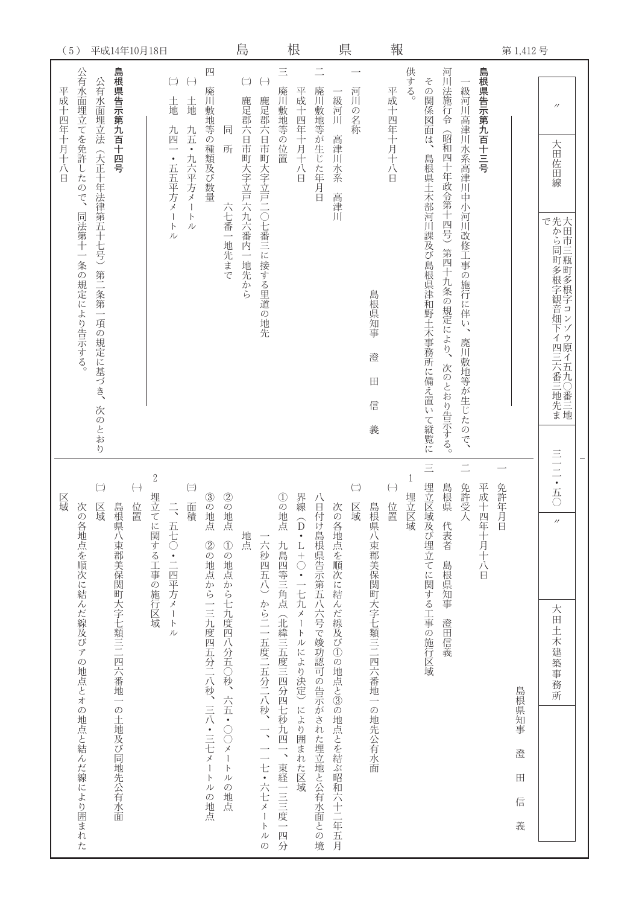| 平成14年10月18日<br>(5)                                                                                                                                                                                                                                                                                                              | 島                                                                                                                                                                                                                           | 根<br>県                                                                                                                                                                                           | 報<br>第1,412号                                                                                                                                                                                                                                                   |  |
|---------------------------------------------------------------------------------------------------------------------------------------------------------------------------------------------------------------------------------------------------------------------------------------------------------------------------------|-----------------------------------------------------------------------------------------------------------------------------------------------------------------------------------------------------------------------------|--------------------------------------------------------------------------------------------------------------------------------------------------------------------------------------------------|----------------------------------------------------------------------------------------------------------------------------------------------------------------------------------------------------------------------------------------------------------------|--|
| 島根県告示第九百十四号<br>公有水面埋立てを免許したので、<br>$\left(\begin{matrix} - \end{matrix}\right)$<br>$\left(\rightarrow\right)$<br>公有水面埋立法(大正十年法律第五十七号)第二条第<br>平成十四年十月十八日<br>土地<br>土地<br>九五<br>九四<br>•九六平方メ<br>•五五平方メ<br>$\mathsf{l}$<br>同法第十一条の規定により告示する。<br>$\ensuremath{\mathop{\upharpoonright}}$<br>$\vdash$<br>ル<br>ル<br>一項の規定に基づき、<br>次のとおり | $\equiv$<br>四<br>$\left(\begin{matrix} - \end{matrix}\right)$<br>$(\!\!-\!\!)$<br>廃川<br>廃川敷地等の位置<br>鹿足郡六日市町大字立戸六九六番内一地先から<br>鹿足郡六日市町大字立戸二〇七番三に接する里道の地先<br>敷地等の種類及び数量<br>同<br>所<br>六七番一地先まで                                  | 平成十四年十月十八日<br>廃川敷地等が生じた年月日<br>河川の名称<br>級河川<br>高津川水系<br>高津川<br>島根県知事<br>澄<br>田<br>信<br>義                                                                                                          | 供する。<br>島根県告示第九百十三号<br>河川法施行令<br>その関係図面は、<br>級河川高津川水系高津川中小河川改修工事の施行に伴い、廃川敷地等が生じたので、<br>平成十四年十月十八日<br>$^{\prime\prime}$<br>(昭和四十年政令第十四号)第四十九条の規定により、<br>大田佐田線<br>島根県土木部河川課及び島根県津和野土木事務所に備え置いて縦覧に<br>で  ○同町多根字観音畑下イ四三六番三地先ま  大田市三瓶町多根字コンゾウ原イ五九○番三地<br>次のとおり告示する。 |  |
| $\overline{c}$<br>$\left(\rightarrow\right)$<br>$\left( \right)$<br>$(\equiv)$<br>埋立てに関する工事の施行区域<br>区域<br>位置<br>島根県八束郡美保関町大字七類三二四六番地一の土地及び同地先公有水面<br>面積<br>次<br>区域<br>$\frac{1}{\sqrt{2}}$<br>の各地点を順次に結んだ線及びアの地点とオの地点と結んだ線により囲まれた<br>五七○・二四平方メ<br>´ートル                                                                          | ③の地点<br>$\frac{2}{\mathcal{O}}$<br>①の地点<br>地点 ①の地点から七九度四八分五○秒、六五・○○メー<br>地点<br>一六秒四五八)から二一五度二五分二八秒、一、一一七・六七メー<br>②の地点から一三九度四五分二八秒、三八・三七メートルの地点<br>九島四等三角点(北緯三五度三四分四七秒九四一、東経一三三度一四分<br>$\frac{\hbar}{\hbar}$<br>:の地点<br>・トルの | $\left(\rightleftharpoons\right)$<br>界線<br>八日付け島根県告示第五八六号で竣功認可の告示がされた埋立地と公有水面との境<br>区域<br>島根県八束郡美保関町大字七類三二四六番地一の地先公有水面<br>次の各地点を順次に結んだ線及び①の地点と③の地点とを結ぶ昭和六十二年五月<br>(D・L+○・一七九メートルにより決定) により囲まれた区域 | 三二·五〇<br>$\equiv$<br>$\mathbf 1$<br>埋立区域及び埋立てに関する工事の施行区域<br>免許受人<br>平成十四年十月十八日<br>免許年月日<br>$\left( \begin{matrix} - \end{matrix} \right)$<br>島根県<br>埋立区域<br>位置<br>$^{\prime\prime}$<br>代表者<br>島根県知事<br>大田土木建築事務所<br>澄田信義<br>島根県知事<br>澄<br>田<br>信<br>義          |  |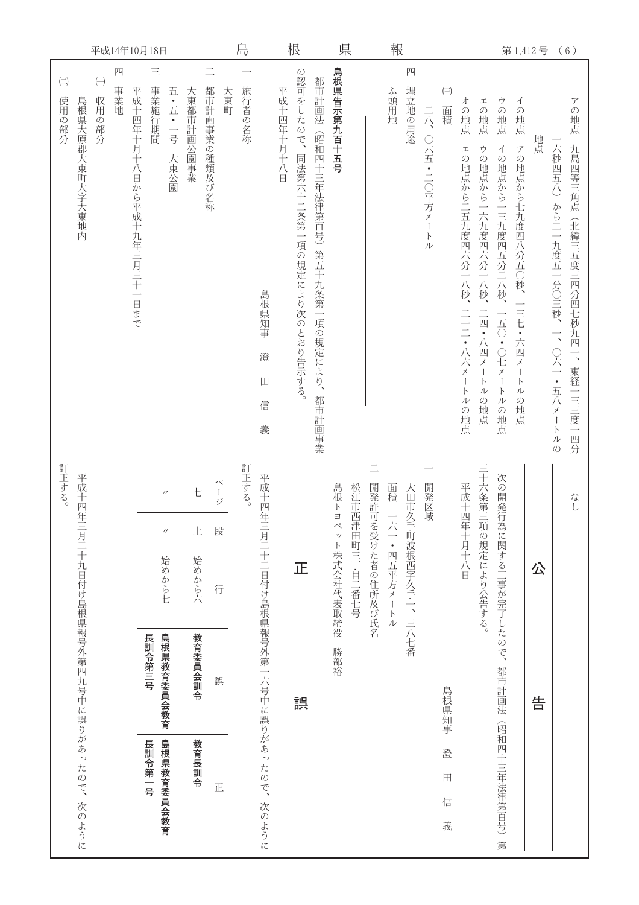|                                                                                                                                                | 平成14年10月18日                                                                                                                                                                             | 島                                                | 根                                                                                                        | 県                                                                 | 報                                                                                       | 第1,412号<br>(6)                                                                                                                                                                                                                                                                                                                                                                                                                                                                                                                                                                                           |
|------------------------------------------------------------------------------------------------------------------------------------------------|-----------------------------------------------------------------------------------------------------------------------------------------------------------------------------------------|--------------------------------------------------|----------------------------------------------------------------------------------------------------------|-------------------------------------------------------------------|-----------------------------------------------------------------------------------------|----------------------------------------------------------------------------------------------------------------------------------------------------------------------------------------------------------------------------------------------------------------------------------------------------------------------------------------------------------------------------------------------------------------------------------------------------------------------------------------------------------------------------------------------------------------------------------------------------------|
| $\left(\begin{array}{c} \rule[1mm]{1mm}{6mm} \\ \rule[1mm]{1mm}{6mm} \end{array}\right)$<br>$(\hbox{--})$<br>使用の部分<br>島根県大原郡大東町大字大東地内<br>収用の部分 | $\equiv$<br>四<br>都市計画事業の種類及び名称<br>事業地<br>平成十四年十月十八日から平成十九年三月三十一日まで<br>事業施行期間<br>五·五·一号<br>大東都市計画公園事業<br>大東公園                                                                            | 施行者の名称<br>大東町<br>島根県知事<br>澄<br>田<br>信<br>義       | の認可をしたので、<br>都市計画法<br>平成十四年十月十八日<br>(昭和四十三年法律第百号)第五十九条第一項の規定により、<br>同法第六十二条第一項の規定により次のとおり告示する。<br>都市計画事業 | 島根県告示第九百十五号                                                       | 四<br>埋立地の用途<br>ふ頭用地<br>$\frac{1}{\sqrt{2}}$<br>○六五<br>• 二〇平方メ<br>$\mathbf{I}$<br>F<br>ル | $\left(\equiv\right)$<br>ウの地点<br>$\overline{\mathcal{A}}$<br>オ<br>エの地点<br>アの地点<br>-の地点<br>面積<br>・の地点<br>地点<br>六秒四五八)から二一九度五一分○三秒、<br>アの地点から七九度四八分五○秒、<br>九島四等三角点<br>ウの地点から一六九度四六分一八秒、<br>$\overline{\mathcal{A}}$<br>工<br>の地点から二五九度四六分一八秒、<br>の地点から一三九度四五分二八秒、<br>(北緯三五度三四分四七秒九四一、東経一三三度一四分<br>三七・六四メ<br>二二・八六メ<br>二四・八四メ<br>一五○・○七メ<br>一、○六一・五八メー<br>$\mathsf I$<br>$\mathbf{I}$<br>$\ensuremath{\mathop{\upharpoonright}}$<br>$\mathsf{P}$<br>$\mathbf{I}$<br>$\mathcal{L}$<br>ル<br>$\vdash$<br>$\mathsf{P}$<br>の地点<br>の地点<br>ル<br>ル<br>の地点<br>の地点<br>$\mathsf{h}$<br>$J\overline{V}$<br>$\mathcal{O}$ |
| 訂正する。<br>平成十四年三月二十九日付け島根県報号外第四九号中に誤りがあったので、次のように                                                                                               | ぺ<br>七<br>$^{\prime\prime}$<br>$\ddot{\mathcal{Y}}$<br>段<br>上<br>$^{\prime\prime}$<br>始めから六<br>始めから七<br>行<br>教育委員会訓令<br>島根県教育委員会教育<br>長訓令第三号<br>誤<br>島根県教育委員会教育<br>教育長訓令<br>長訓令第一号<br>正 | 訂正する。<br>平成十四年三月二十二日付け島根県報号外第一六号中に誤りがあったので、次のように | 正<br>誤                                                                                                   | 開発許可を受けた者の住所及び氏名<br>松江市西津田町三丁目二番七号<br>島根トヨ<br>ペット株式会社代表取締役<br>勝部裕 | 面積<br>大田市久手町波根西字久手一、三八七番<br>開発区域<br>六一・四五平方メートル                                         | 三十六条第三項の規定により公告する。<br>次の開発行為に関する工事が完了したので、<br>平成十四年十月十八日<br>なし<br>公<br>都市計画法<br>島根県知事<br>告<br>(昭和四十三年法律第百号)<br>澄<br>$\blacksquare$<br>信<br>義                                                                                                                                                                                                                                                                                                                                                                                                                                                             |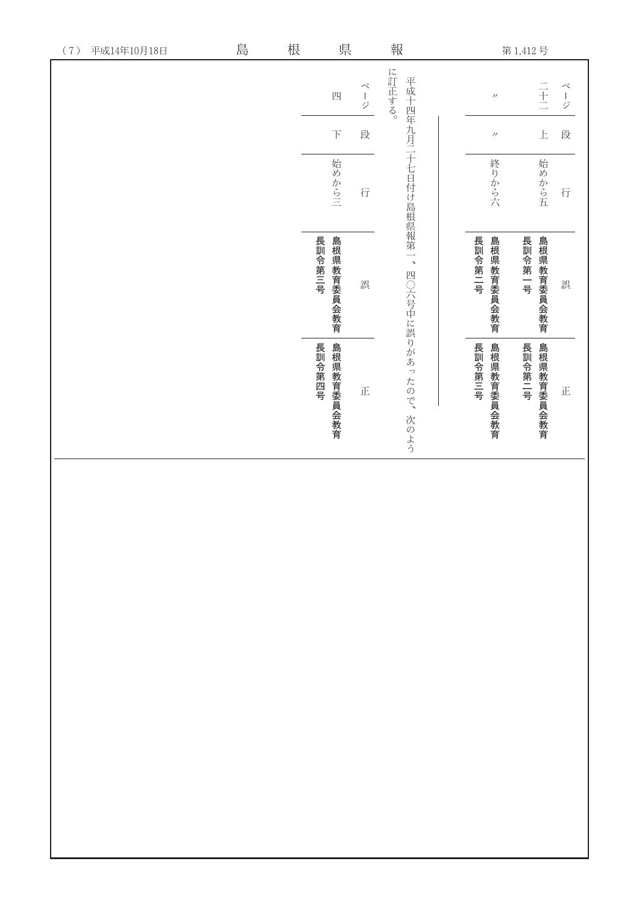| 平成14年10月18日<br>$(\,7\,)$ | 島 | 根 | 県                        | 報                                                                                  |                                         |                      | 第1,412号              |                                                                          |
|--------------------------|---|---|--------------------------|------------------------------------------------------------------------------------|-----------------------------------------|----------------------|----------------------|--------------------------------------------------------------------------|
|                          |   |   | 四                        | に訂正する。<br>$\begin{array}{c}\n\curvearrowright \\ \longleftarrowright\n\end{array}$ |                                         | $^{\prime\prime}$    | 三土                   | $\begin{array}{c}\n\curvearrowright \\ \longleftarrowright\n\end{array}$ |
|                          |   |   | $\overline{\mathcal{F}}$ | 段                                                                                  |                                         | $^{\prime\prime}$    | $\pm$                | 段                                                                        |
|                          |   |   | 始めから三                    | 行                                                                                  |                                         | 終りから六                | 始めから五                | 行                                                                        |
|                          |   |   | 島根県教育委員会教育<br>長訓令第三号     | 誤                                                                                  |                                         | 島根県教育委員会教育<br>長訓令第二号 | 長訓令第一号<br>島根県教育委員会教育 | 誤                                                                        |
|                          |   |   | 島根県教育委員会教育<br>長訓令第四号     | 正                                                                                  | 平成十四年九月二十七日付け島根県報第一、四○六号中に誤りがあったので、次のよう | 島根県教育委員会教育<br>長訓令第三号 | 島根県教育委員会教育<br>長訓令第二号 | 正                                                                        |
|                          |   |   |                          |                                                                                    |                                         |                      |                      |                                                                          |
|                          |   |   |                          |                                                                                    |                                         |                      |                      |                                                                          |
|                          |   |   |                          |                                                                                    |                                         |                      |                      |                                                                          |
|                          |   |   |                          |                                                                                    |                                         |                      |                      |                                                                          |